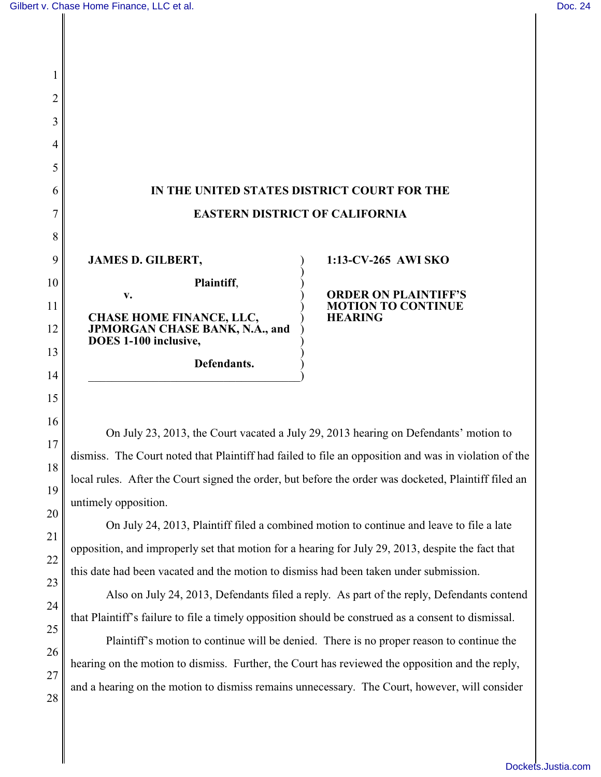## **IN THE UNITED STATES DISTRICT COURT FOR THE EASTERN DISTRICT OF CALIFORNIA**

)

)

)

**JAMES D. GILBERT,** ) **Plaintiff**, ) **v.** ) **CHASE HOME FINANCE, LLC,** ) **JPMORGAN CHASE BANK, N.A., and** ) **DOES 1-100 inclusive,** )

 $\hspace{.5em}$   $\hspace{.5em}$   $\hspace{.5em}$   $\hspace{.5em}$   $\hspace{.5em}$   $\hspace{.5em}$   $\hspace{.5em}$   $\hspace{.5em}$   $\hspace{.5em}$   $\hspace{.5em}$   $\hspace{.5em}$   $\hspace{.5em}$   $\hspace{.5em}$   $\hspace{.5em}$   $\hspace{.5em}$   $\hspace{.5em}$   $\hspace{.5em}$   $\hspace{.5em}$   $\hspace{.5em}$   $\hspace{.5em}$ 

**Defendants.** )

## **1:13-CV-265 AWI SKO**

**ORDER ON PLAINTIFF'S MOTION TO CONTINUE HEARING**

On July 23, 2013, the Court vacated a July 29, 2013 hearing on Defendants' motion to dismiss. The Court noted that Plaintiff had failed to file an opposition and was in violation of the local rules. After the Court signed the order, but before the order was docketed, Plaintiff filed an untimely opposition.

On July 24, 2013, Plaintiff filed a combined motion to continue and leave to file a late opposition, and improperly set that motion for a hearing for July 29, 2013, despite the fact that this date had been vacated and the motion to dismiss had been taken under submission.

Also on July 24, 2013, Defendants filed a reply. As part of the reply, Defendants contend that Plaintiff's failure to file a timely opposition should be construed as a consent to dismissal.

Plaintiff's motion to continue will be denied. There is no proper reason to continue the hearing on the motion to dismiss. Further, the Court has reviewed the opposition and the reply, and a hearing on the motion to dismiss remains unnecessary. The Court, however, will consider